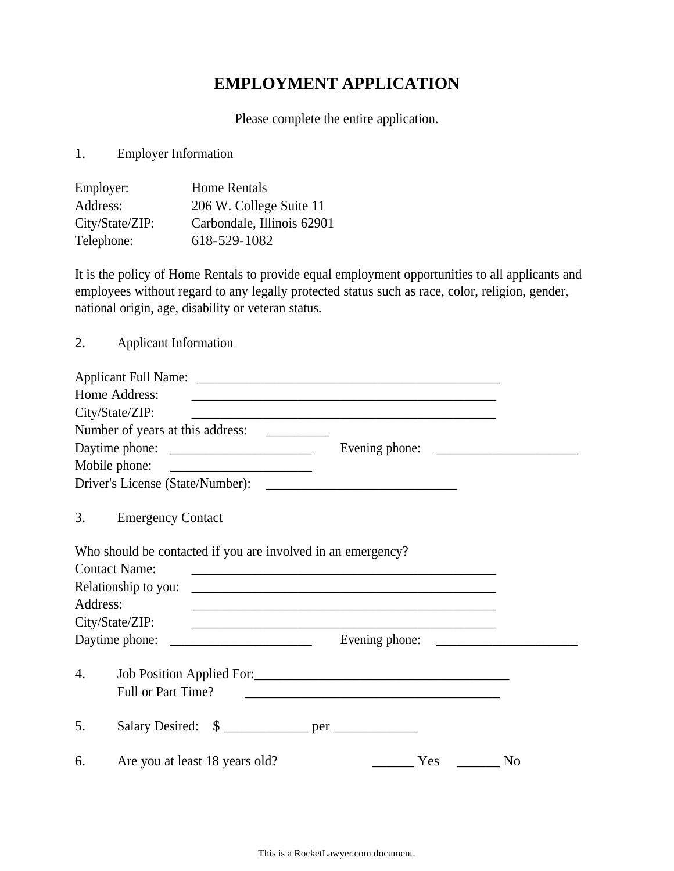## **EMPLOYMENT APPLICATION**

Please complete the entire application.

1. Employer Information

| Employer:       | <b>Home Rentals</b>        |
|-----------------|----------------------------|
| Address:        | 206 W. College Suite 11    |
| City/State/ZIP: | Carbondale, Illinois 62901 |
| Telephone:      | 618-529-1082               |

It is the policy of Home Rentals to provide equal employment opportunities to all applicants and employees without regard to any legally protected status such as race, color, religion, gender, national origin, age, disability or veteran status.

2. Applicant Information

|          | Home Address:                                                | <u> 1989 - Johann Stoff, amerikansk politiker (d. 1989)</u>                                                                                                                                                                              |                       |
|----------|--------------------------------------------------------------|------------------------------------------------------------------------------------------------------------------------------------------------------------------------------------------------------------------------------------------|-----------------------|
|          | City/State/ZIP:                                              | <u> 1989 - Johann Stoff, amerikansk politiker (d. 1989)</u>                                                                                                                                                                              |                       |
|          |                                                              |                                                                                                                                                                                                                                          |                       |
|          |                                                              |                                                                                                                                                                                                                                          |                       |
|          |                                                              |                                                                                                                                                                                                                                          |                       |
|          |                                                              |                                                                                                                                                                                                                                          |                       |
| 3.       | <b>Emergency Contact</b>                                     |                                                                                                                                                                                                                                          |                       |
|          | Who should be contacted if you are involved in an emergency? |                                                                                                                                                                                                                                          |                       |
|          | <b>Contact Name:</b>                                         |                                                                                                                                                                                                                                          |                       |
| Address: | Relationship to you:                                         | <u> 1990 - Johann Johann Stoff, deutscher Stoffen und der Stoffen und der Stoffen und der Stoffen und der Stoffen</u>                                                                                                                    |                       |
|          | City/State/ZIP:                                              | and the control of the control of the control of the control of the control of the control of the control of the<br><u> 2000 - Jan James James Jan James James James James James James James James James James James James James Jam</u> |                       |
|          | Daytime phone:                                               |                                                                                                                                                                                                                                          |                       |
| 4.       | Full or Part Time?                                           | <u> 2000 - Jan James James James James James James James James James James James James James James James James J</u>                                                                                                                     |                       |
| 5.       |                                                              |                                                                                                                                                                                                                                          |                       |
| 6.       | Are you at least 18 years old?                               |                                                                                                                                                                                                                                          | Yes<br>N <sub>o</sub> |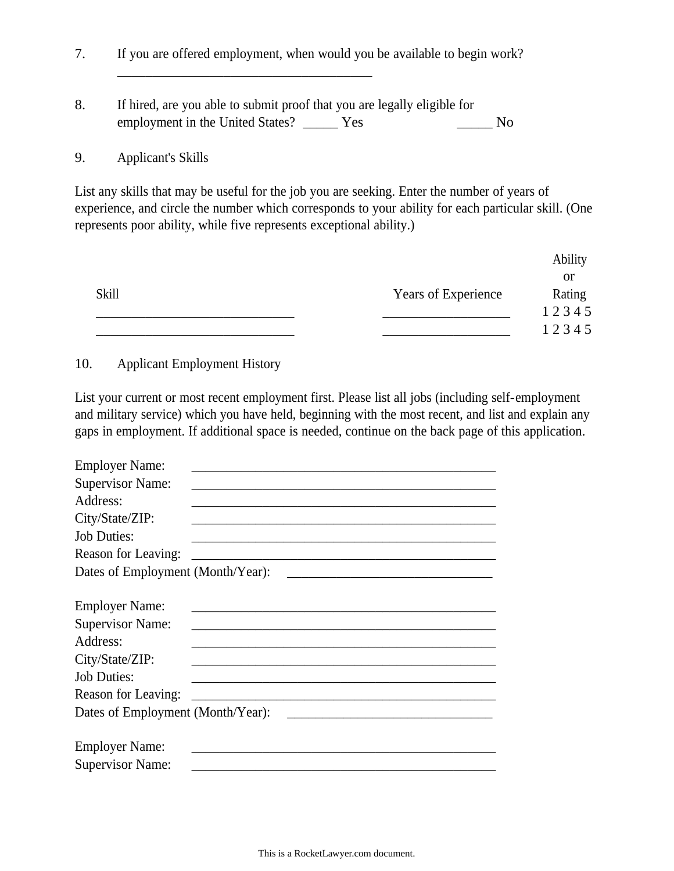\_\_\_\_\_\_\_\_\_\_\_\_\_\_\_\_\_\_\_\_\_\_\_\_\_\_\_\_\_\_\_\_\_\_\_\_ 7. If you are offered employment, when would you be available to begin work? 8. If hired, are you able to submit proof that you are legally eligible for employment in the United States? \_\_\_\_\_\_ Yes \_\_\_\_\_\_\_ No

## 9. Applicant's Skills

List any skills that may be useful for the job you are seeking. Enter the number of years of experience, and circle the number which corresponds to your ability for each particular skill. (One represents poor ability, while five represents exceptional ability.)

|              |                     | Ability |
|--------------|---------------------|---------|
|              |                     | or      |
| <b>Skill</b> | Years of Experience | Rating  |
|              |                     | 12345   |
|              |                     | 12345   |

## 10. Applicant Employment History

List your current or most recent employment first. Please list all jobs (including self-employment and military service) which you have held, beginning with the most recent, and list and explain any gaps in employment. If additional space is needed, continue on the back page of this application.

| <b>Employer Name:</b>             |                                                                                                                     |  |
|-----------------------------------|---------------------------------------------------------------------------------------------------------------------|--|
| <b>Supervisor Name:</b>           |                                                                                                                     |  |
| Address:                          |                                                                                                                     |  |
| City/State/ZIP:                   |                                                                                                                     |  |
| <b>Job Duties:</b>                |                                                                                                                     |  |
| Reason for Leaving:               |                                                                                                                     |  |
| Dates of Employment (Month/Year): |                                                                                                                     |  |
|                                   |                                                                                                                     |  |
| <b>Employer Name:</b>             |                                                                                                                     |  |
| <b>Supervisor Name:</b>           |                                                                                                                     |  |
| Address:                          |                                                                                                                     |  |
| City/State/ZIP:                   |                                                                                                                     |  |
| <b>Job Duties:</b>                |                                                                                                                     |  |
| Reason for Leaving:               | <u> 1989 - Johann John Barn, mars eta bainar eta industrial eta industrial eta industrial eta industrial eta in</u> |  |
| Dates of Employment (Month/Year): |                                                                                                                     |  |
|                                   |                                                                                                                     |  |
| <b>Employer Name:</b>             |                                                                                                                     |  |
| <b>Supervisor Name:</b>           |                                                                                                                     |  |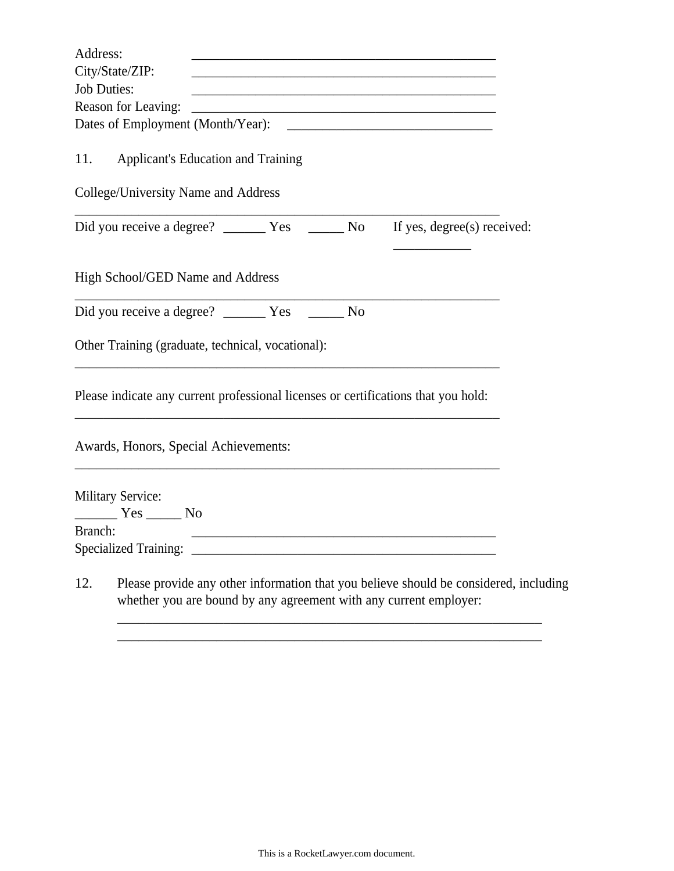| Address:           |                                                                                                                                                            |  |
|--------------------|------------------------------------------------------------------------------------------------------------------------------------------------------------|--|
|                    | City/State/ZIP:                                                                                                                                            |  |
| <b>Job Duties:</b> | <u> 1980 - Jan James James Jan James James James James James James James James James James James James James Jam</u>                                       |  |
|                    | Reason for Leaving:<br><u> 1989 - Johann John Stone, markin film yn y brenin y brenin y brenin y brenin y brenin y brenin y brenin y br</u>                |  |
|                    | Dates of Employment (Month/Year):<br><u> 1980 - Andrea Andrew Maria (h. 1980).</u>                                                                         |  |
| 11.                | Applicant's Education and Training                                                                                                                         |  |
|                    | College/University Name and Address                                                                                                                        |  |
|                    | If yes, degree(s) received:                                                                                                                                |  |
|                    | High School/GED Name and Address                                                                                                                           |  |
|                    |                                                                                                                                                            |  |
|                    | Other Training (graduate, technical, vocational):                                                                                                          |  |
|                    | Please indicate any current professional licenses or certifications that you hold:                                                                         |  |
|                    | Awards, Honors, Special Achievements:                                                                                                                      |  |
|                    | <b>Military Service:</b>                                                                                                                                   |  |
|                    | $Yes$ No                                                                                                                                                   |  |
| Branch:            |                                                                                                                                                            |  |
|                    | <b>Specialized Training:</b>                                                                                                                               |  |
| 12.                | Please provide any other information that you believe should be considered, including<br>whether you are bound by any agreement with any current employer: |  |

\_\_\_\_\_\_\_\_\_\_\_\_\_\_\_\_\_\_\_\_\_\_\_\_\_\_\_\_\_\_\_\_\_\_\_\_\_\_\_\_\_\_\_\_\_\_\_\_\_\_\_\_\_\_\_\_\_\_\_\_